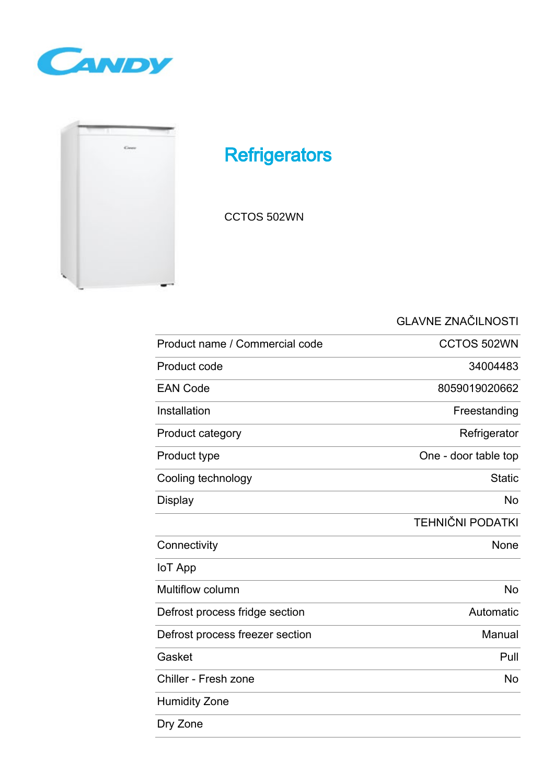



## **Refrigerators**

CCTOS 502WN

GLAVNE ZNAČILNOSTI

| Product name / Commercial code  | CCTOS 502WN             |
|---------------------------------|-------------------------|
| Product code                    | 34004483                |
| <b>EAN Code</b>                 | 8059019020662           |
| Installation                    | Freestanding            |
| Product category                | Refrigerator            |
| Product type                    | One - door table top    |
| Cooling technology              | <b>Static</b>           |
| <b>Display</b>                  | <b>No</b>               |
|                                 | <b>TEHNIČNI PODATKI</b> |
| Connectivity                    | None                    |
| <b>IoT App</b>                  |                         |
| <b>Multiflow column</b>         | <b>No</b>               |
| Defrost process fridge section  | Automatic               |
| Defrost process freezer section | Manual                  |
| Gasket                          | Pull                    |
| Chiller - Fresh zone            | <b>No</b>               |
| <b>Humidity Zone</b>            |                         |
| Dry Zone                        |                         |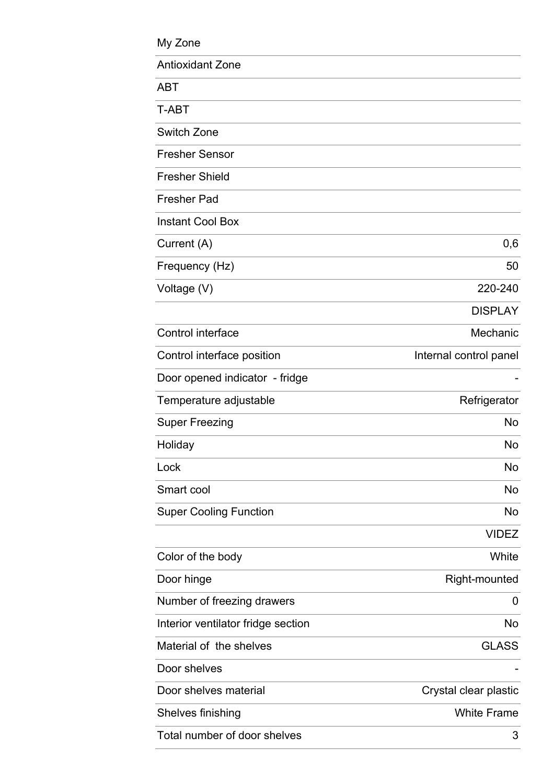| My Zone                            |                        |
|------------------------------------|------------------------|
| <b>Antioxidant Zone</b>            |                        |
| ABT                                |                        |
| T-ABT                              |                        |
| <b>Switch Zone</b>                 |                        |
| <b>Fresher Sensor</b>              |                        |
| <b>Fresher Shield</b>              |                        |
| <b>Fresher Pad</b>                 |                        |
| <b>Instant Cool Box</b>            |                        |
| Current (A)                        | 0,6                    |
| Frequency (Hz)                     | 50                     |
| Voltage (V)                        | 220-240                |
|                                    | <b>DISPLAY</b>         |
| Control interface                  | Mechanic               |
| Control interface position         | Internal control panel |
| Door opened indicator - fridge     |                        |
| Temperature adjustable             | Refrigerator           |
| Super Freezing                     | No                     |
| Holiday                            | No                     |
| Lock                               | No                     |
| Smart cool                         | No                     |
| <b>Super Cooling Function</b>      | No                     |
|                                    | <b>VIDEZ</b>           |
| Color of the body                  | White                  |
| Door hinge                         | Right-mounted          |
| Number of freezing drawers         | 0                      |
| Interior ventilator fridge section | No                     |
| Material of the shelves            | <b>GLASS</b>           |
| Door shelves                       |                        |
| Door shelves material              | Crystal clear plastic  |
| Shelves finishing                  | <b>White Frame</b>     |
| Total number of door shelves       | 3                      |

L,

 $\overline{\phantom{a}}$ 

i,

 $\overline{a}$ 

L

 $\frac{1}{2}$ 

 $\overline{a}$ 

i,

 $\overline{a}$ 

 $\overline{a}$ 

 $\overline{a}$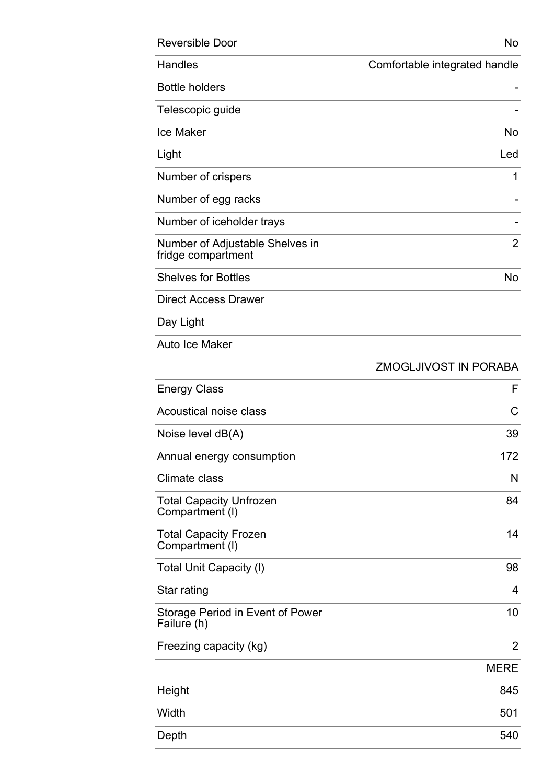| <b>Reversible Door</b>                                | No.                           |
|-------------------------------------------------------|-------------------------------|
| Handles                                               | Comfortable integrated handle |
| <b>Bottle holders</b>                                 |                               |
| Telescopic guide                                      |                               |
| <b>Ice Maker</b>                                      | <b>No</b>                     |
| Light                                                 | Led                           |
| Number of crispers                                    | 1                             |
| Number of egg racks                                   |                               |
| Number of iceholder trays                             |                               |
| Number of Adjustable Shelves in<br>fridge compartment | 2                             |
| <b>Shelves for Bottles</b>                            | No                            |
| <b>Direct Access Drawer</b>                           |                               |
| Day Light                                             |                               |
| Auto Ice Maker                                        |                               |
|                                                       | <b>ZMOGLJIVOST IN PORABA</b>  |
| <b>Energy Class</b>                                   | F                             |
| Acoustical noise class                                | C                             |
| Noise level $dB(A)$                                   | 39                            |
| Annual energy consumption                             | 172                           |
| Climate class                                         | N                             |
| <b>Total Capacity Unfrozen</b><br>Compartment (I)     | 84                            |
| <b>Total Capacity Frozen</b><br>Compartment (I)       | 14                            |
| <b>Total Unit Capacity (I)</b>                        | 98                            |
| Star rating                                           | 4                             |
| Storage Period in Event of Power<br>Failure (h)       | 10                            |
| Freezing capacity (kg)                                | $\overline{2}$                |
|                                                       | <b>MERE</b>                   |
| Height                                                | 845                           |
| Width                                                 | 501                           |
| Depth                                                 | 540                           |
|                                                       |                               |